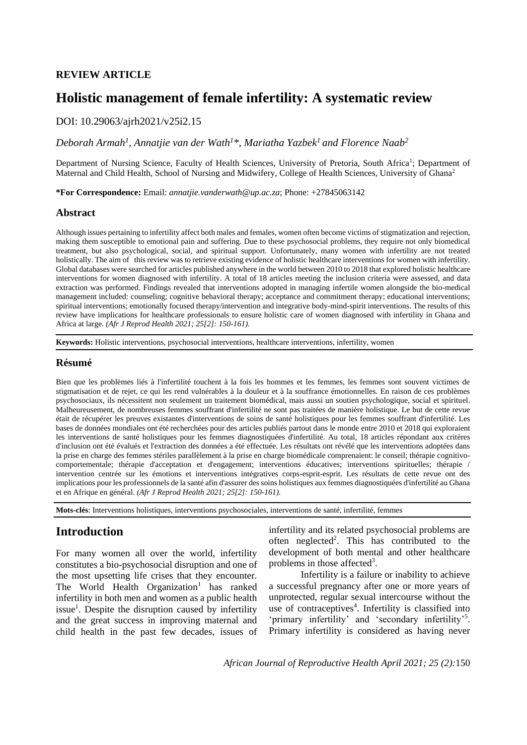# **REVIEW ARTICLE**

# **Holistic management of female infertility: A systematic review**

## DOI: 10.29063/ajrh2021/v25i2.15

## *Deborah Armah<sup>1</sup> , Annatjie van der Wath<sup>1</sup>\*, Mariatha Yazbek<sup>1</sup>and Florence Naab<sup>2</sup>*

Department of Nursing Science, Faculty of Health Sciences, University of Pretoria, South Africa<sup>1</sup>; Department of Maternal and Child Health, School of Nursing and Midwifery, College of Health Sciences, University of Ghana<sup>2</sup>

*Obasohan et al.* Reasons for Partial and Non-immunization

**\*For Correspondence:** Email: *annatjie.vanderwath@up.ac.za*; Phone: +27845063142

### **Abstract**

Although issues pertaining to infertility affect both males and females, women often become victims of stigmatization and rejection, making them susceptible to emotional pain and suffering. Due to these psychosocial problems, they require not only biomedical treatment, but also psychological, social, and spiritual support. Unfortunately, many women with infertility are not treated holistically. The aim of this review was to retrieve existing evidence of holistic healthcare interventions for women with infertility. Global databases were searched for articles published anywhere in the world between 2010 to 2018 that explored holistic healthcare interventions for women diagnosed with infertility. A total of 18 articles meeting the inclusion criteria were assessed, and data extraction was performed. Findings revealed that interventions adopted in managing infertile women alongside the bio-medical management included: counseling; cognitive behavioral therapy; acceptance and commitment therapy; educational interventions; spiritual interventions; emotionally focused therapy/intervention and integrative body-mind-spirit interventions. The results of this review have implications for healthcare professionals to ensure holistic care of women diagnosed with infertility in Ghana and Africa at large. *(Afr J Reprod Health 2021; 25[2]: 150-161).*

**Keywords:** Holistic interventions, psychosocial interventions, healthcare interventions, infertility, women

## **Résumé**

Bien que les problèmes liés à l'infertilité touchent à la fois les hommes et les femmes, les femmes sont souvent victimes de stigmatisation et de rejet, ce qui les rend vulnérables à la douleur et à la souffrance émotionnelles. En raison de ces problèmes psychosociaux, ils nécessitent non seulement un traitement biomédical, mais aussi un soutien psychologique, social et spirituel. Malheureusement, de nombreuses femmes souffrant d'infertilité ne sont pas traitées de manière holistique. Le but de cette revue était de récupérer les preuves existantes d'interventions de soins de santé holistiques pour les femmes souffrant d'infertilité. Les bases de données mondiales ont été recherchées pour des articles publiés partout dans le monde entre 2010 et 2018 qui exploraient les interventions de santé holistiques pour les femmes diagnostiquées d'infertilité. Au total, 18 articles répondant aux critères d'inclusion ont été évalués et l'extraction des données a été effectuée. Les résultats ont révélé que les interventions adoptées dans la prise en charge des femmes stériles parallèlement à la prise en charge biomédicale comprenaient: le conseil; thérapie cognitivocomportementale; thérapie d'acceptation et d'engagement; interventions éducatives; interventions spirituelles; thérapie / intervention centrée sur les émotions et interventions intégratives corps-esprit-esprit. Les résultats de cette revue ont des implications pour les professionnels de la santé afin d'assurer des soins holistiques aux femmes diagnostiquées d'infertilité au Ghana et en Afrique en général. *(Afr J Reprod Health 2021; 25[2]: 150-161).*

**Mots-clés**: Interventions holistiques, interventions psychosociales, interventions de santé, infertilité, femmes

# **Introduction**

For many women all over the world, infertility constitutes a bio-psychosocial disruption and one of the most upsetting life crises that they encounter. The World Health Organization<sup>1</sup> has ranked infertility in both men and women as a public health issue<sup>1</sup>. Despite the disruption caused by infertility and the great success in improving maternal and child health in the past few decades, issues of

infertility and its related psychosocial problems are often neglected<sup>2</sup>. This has contributed to the development of both mental and other healthcare problems in those affected<sup>3</sup>.

Infertility is a failure or inability to achieve a successful pregnancy after one or more years of unprotected, regular sexual intercourse without the use of contraceptives<sup>4</sup>. Infertility is classified into 'primary infertility' and 'secondary infertility'<sup>5</sup>. Primary infertility is considered as having never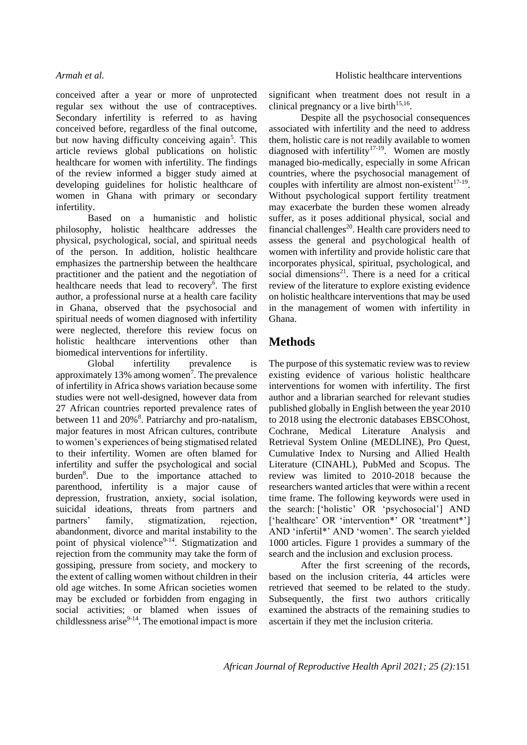conceived after a year or more of unprotected regular sex without the use of contraceptives. Secondary infertility is referred to as having conceived before, regardless of the final outcome, but now having difficulty conceiving again<sup>5</sup>. This article reviews global publications on holistic healthcare for women with infertility. The findings of the review informed a bigger study aimed at developing guidelines for holistic healthcare of women in Ghana with primary or secondary infertility.

Based on a humanistic and holistic philosophy, holistic healthcare addresses the physical, psychological, social, and spiritual needs of the person. In addition, holistic healthcare emphasizes the partnership between the healthcare practitioner and the patient and the negotiation of healthcare needs that lead to recovery<sup>6</sup>. The first author, a professional nurse at a health care facility in Ghana, observed that the psychosocial and spiritual needs of women diagnosed with infertility were neglected, therefore this review focus on holistic healthcare interventions other than biomedical interventions for infertility.

Global infertility prevalence is approximately 13% among women<sup>7</sup>. The prevalence of infertility in Africa shows variation because some studies were not well-designed, however data from 27 African countries reported prevalence rates of between 11 and 20%<sup>8</sup>. Patriarchy and pro-natalism, major features in most African cultures, contribute to women's experiences of being stigmatised related to their infertility. Women are often blamed for infertility and suffer the psychological and social burden<sup>8</sup>. Due to the importance attached to parenthood, infertility is a major cause of depression, frustration, anxiety, social isolation, suicidal ideations, threats from partners and partners' family, stigmatization, rejection, abandonment, divorce and marital instability to the point of physical violence<sup>9-14</sup>. Stigmatization and rejection from the community may take the form of gossiping, pressure from society, and mockery to the extent of calling women without children in their old age witches. In some African societies women may be excluded or forbidden from engaging in social activities; or blamed when issues of childlessness arise $9-14$ . The emotional impact is more significant when treatment does not result in a clinical pregnancy or a live birth $15,16$ .

Despite all the psychosocial consequences associated with infertility and the need to address them, holistic care is not readily available to women diagnosed with infertility<sup>17-19</sup>. Women are mostly managed bio-medically, especially in some African countries, where the psychosocial management of couples with infertility are almost non-existent $17-19$ . Without psychological support fertility treatment may exacerbate the burden these women already suffer, as it poses additional physical, social and financial challenges<sup>20</sup>. Health care providers need to assess the general and psychological health of women with infertility and provide holistic care that incorporates physical, spiritual, psychological, and social dimensions<sup>21</sup>. There is a need for a critical review of the literature to explore existing evidence on holistic healthcare interventions that may be used in the management of women with infertility in Ghana.

# **Methods**

The purpose of this systematic review was to review existing evidence of various holistic healthcare interventions for women with infertility. The first author and a librarian searched for relevant studies published globally in English between the year 2010 to 2018 using the electronic databases EBSCOhost, Cochrane, Medical Literature Analysis and Retrieval System Online (MEDLINE), Pro Quest, Cumulative Index to Nursing and Allied Health Literature (CINAHL), PubMed and Scopus. The review was limited to 2010-2018 because the researchers wanted articles that were within a recent time frame. The following keywords were used in the search: ['holistic' OR 'psychosocial'] AND ['healthcare' OR 'intervention\*' OR 'treatment\*'] AND 'infertil\*' AND 'women'. The search yielded 1000 articles. Figure 1 provides a summary of the search and the inclusion and exclusion process.

After the first screening of the records, based on the inclusion criteria, 44 articles were retrieved that seemed to be related to the study. Subsequently, the first two authors critically examined the abstracts of the remaining studies to ascertain if they met the inclusion criteria.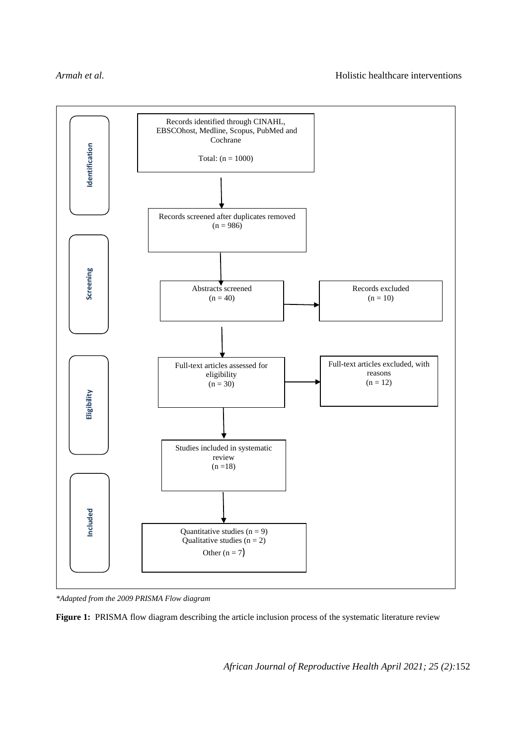

*\*Adapted from the 2009 PRISMA Flow diagram*

**Figure 1:** PRISMA flow diagram describing the article inclusion process of the systematic literature review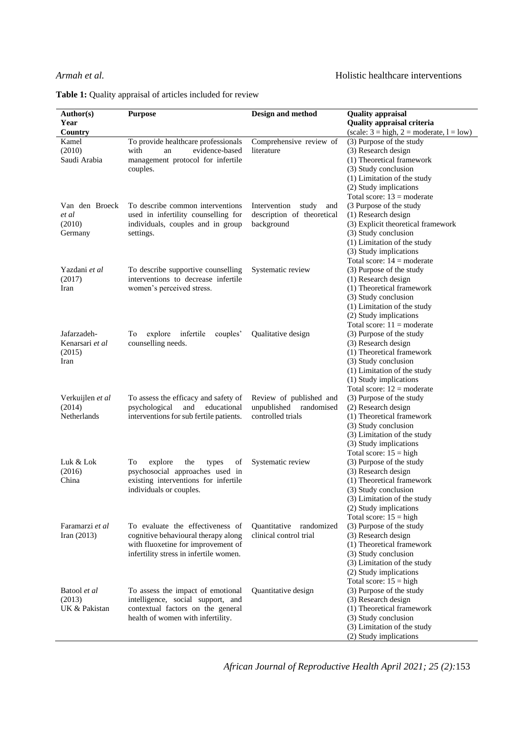|  |  | <b>Table 1:</b> Quality appraisal of articles included for review |
|--|--|-------------------------------------------------------------------|
|--|--|-------------------------------------------------------------------|

| Author(s)<br>Year<br>Country                     | <b>Purpose</b>                                                                                                                                          | Design and method                                                        | <b>Quality appraisal</b><br>Quality appraisal criteria<br>(scale: $3 = high$ , $2 = moderate$ , $l = low$ )                                                                                                                                         |
|--------------------------------------------------|---------------------------------------------------------------------------------------------------------------------------------------------------------|--------------------------------------------------------------------------|-----------------------------------------------------------------------------------------------------------------------------------------------------------------------------------------------------------------------------------------------------|
| Kamel<br>(2010)<br>Saudi Arabia                  | To provide healthcare professionals<br>evidence-based<br>with<br>an<br>management protocol for infertile<br>couples.                                    | Comprehensive review of<br>literature                                    | (3) Purpose of the study<br>(3) Research design<br>(1) Theoretical framework<br>(3) Study conclusion<br>(1) Limitation of the study<br>(2) Study implications                                                                                       |
| Van den Broeck<br>et al<br>(2010)<br>Germany     | To describe common interventions<br>used in infertility counselling for<br>individuals, couples and in group<br>settings.                               | study<br>Intervention<br>and<br>description of theoretical<br>background | Total score: $13 = \text{moderate}$<br>(3 Purpose of the study<br>(1) Research design<br>(3) Explicit theoretical framework<br>(3) Study conclusion<br>(1) Limitation of the study<br>(3) Study implications<br>Total score: $14 = \text{moderate}$ |
| Yazdani et al<br>(2017)<br>Iran                  | To describe supportive counselling<br>interventions to decrease infertile<br>women's perceived stress.                                                  | Systematic review                                                        | (3) Purpose of the study<br>(1) Research design<br>(1) Theoretical framework<br>(3) Study conclusion<br>(1) Limitation of the study<br>(2) Study implications<br>Total score: $11 = \text{moderate}$                                                |
| Jafarzadeh-<br>Kenarsari et al<br>(2015)<br>Iran | explore<br>infertile<br>couples'<br>To<br>counselling needs.                                                                                            | Qualitative design                                                       | (3) Purpose of the study<br>(3) Research design<br>(1) Theoretical framework<br>(3) Study conclusion<br>(1) Limitation of the study<br>(1) Study implications<br>Total score: $12 = \text{moderate}$                                                |
| Verkuijlen et al<br>(2014)<br>Netherlands        | To assess the efficacy and safety of<br>and<br>educational<br>psychological<br>interventions for sub fertile patients.                                  | Review of published and<br>unpublished randomised<br>controlled trials   | (3) Purpose of the study<br>(2) Research design<br>(1) Theoretical framework<br>(3) Study conclusion<br>(3) Limitation of the study<br>(3) Study implications<br>Total score: $15 = high$                                                           |
| Luk & Lok<br>(2016)<br>China                     | To<br>explore<br>the<br>types<br>of<br>psychosocial approaches used in<br>existing interventions for infertile<br>individuals or couples.               | Systematic review                                                        | (3) Purpose of the study<br>(3) Research design<br>(1) Theoretical framework<br>(3) Study conclusion<br>(3) Limitation of the study<br>(2) Study implications<br>Total score: $15 = high$                                                           |
| Faramarzi et al<br>Iran $(2013)$                 | To evaluate the effectiveness of<br>cognitive behavioural therapy along<br>with fluoxetine for improvement of<br>infertility stress in infertile women. | Quantitative<br>randomized<br>clinical control trial                     | (3) Purpose of the study<br>(3) Research design<br>(1) Theoretical framework<br>(3) Study conclusion<br>(3) Limitation of the study<br>(2) Study implications<br>Total score: $15 = high$                                                           |
| Batool et al<br>(2013)<br>UK & Pakistan          | To assess the impact of emotional<br>intelligence, social support, and<br>contextual factors on the general<br>health of women with infertility.        | Quantitative design                                                      | (3) Purpose of the study<br>(3) Research design<br>(1) Theoretical framework<br>(3) Study conclusion<br>(3) Limitation of the study<br>(2) Study implications                                                                                       |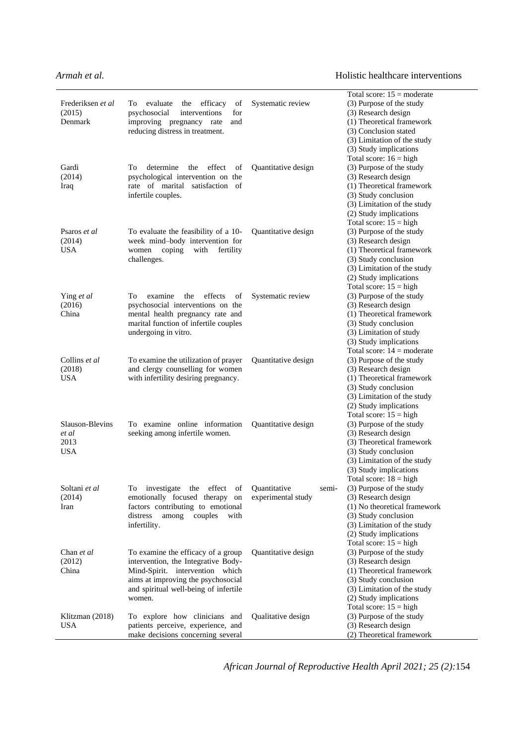|                   |                                                                                                                                    |                     |       | Total score: $15 = \text{moderate}$ |
|-------------------|------------------------------------------------------------------------------------------------------------------------------------|---------------------|-------|-------------------------------------|
| Frederiksen et al | evaluate<br>efficacy<br>To<br>the<br>of                                                                                            | Systematic review   |       | (3) Purpose of the study            |
| (2015)            | psychosocial<br>interventions<br>for                                                                                               |                     |       | (3) Research design                 |
| Denmark           | improving pregnancy rate<br>and                                                                                                    |                     |       | (1) Theoretical framework           |
|                   | reducing distress in treatment.                                                                                                    |                     |       | (3) Conclusion stated               |
|                   |                                                                                                                                    |                     |       | (3) Limitation of the study         |
|                   |                                                                                                                                    |                     |       | (3) Study implications              |
|                   |                                                                                                                                    |                     |       | Total score: $16 = high$            |
| Gardi             | To<br>determine<br>the<br>effect<br>of                                                                                             | Quantitative design |       | (3) Purpose of the study            |
| (2014)            | psychological intervention on the                                                                                                  |                     |       | (3) Research design                 |
| Iraq              | rate of marital satisfaction of                                                                                                    |                     |       | (1) Theoretical framework           |
|                   | infertile couples.                                                                                                                 |                     |       | (3) Study conclusion                |
|                   |                                                                                                                                    |                     |       | (3) Limitation of the study         |
|                   |                                                                                                                                    |                     |       | (2) Study implications              |
|                   |                                                                                                                                    |                     |       | Total score: $15 = high$            |
| Psaros et al      | To evaluate the feasibility of a 10-                                                                                               | Quantitative design |       | (3) Purpose of the study            |
| (2014)            | week mind-body intervention for                                                                                                    |                     |       | (3) Research design                 |
| <b>USA</b>        | women<br>coping<br>with<br>fertility                                                                                               |                     |       | (1) Theoretical framework           |
|                   | challenges.                                                                                                                        |                     |       | (3) Study conclusion                |
|                   |                                                                                                                                    |                     |       | (3) Limitation of the study         |
|                   |                                                                                                                                    |                     |       | (2) Study implications              |
|                   |                                                                                                                                    |                     |       | Total score: $15 = high$            |
| Ying et al        | effects<br>Tо<br>examine<br>the<br>οf                                                                                              | Systematic review   |       | (3) Purpose of the study            |
| (2016)            | psychosocial interventions on the                                                                                                  |                     |       | (3) Research design                 |
| China             |                                                                                                                                    |                     |       |                                     |
|                   | mental health pregnancy rate and                                                                                                   |                     |       | (1) Theoretical framework           |
|                   | marital function of infertile couples                                                                                              |                     |       | (3) Study conclusion                |
|                   | undergoing in vitro.                                                                                                               |                     |       | (3) Limitation of study             |
|                   |                                                                                                                                    |                     |       | (3) Study implications              |
|                   |                                                                                                                                    |                     |       | Total score: $14 = \text{moderate}$ |
| Collins et al     | To examine the utilization of prayer                                                                                               | Quantitative design |       | (3) Purpose of the study            |
| (2018)            | and clergy counselling for women                                                                                                   |                     |       | (3) Research design                 |
| USA               | with infertility desiring pregnancy.                                                                                               |                     |       | (1) Theoretical framework           |
|                   |                                                                                                                                    |                     |       | (3) Study conclusion                |
|                   |                                                                                                                                    |                     |       | (3) Limitation of the study         |
|                   |                                                                                                                                    |                     |       | (2) Study implications              |
|                   |                                                                                                                                    |                     |       | Total score: $15 = high$            |
| Slauson-Blevins   | To examine online information                                                                                                      | Quantitative design |       | (3) Purpose of the study            |
| et al             | seeking among infertile women.                                                                                                     |                     |       | (3) Research design                 |
| 2013              |                                                                                                                                    |                     |       | (3) Theoretical framework           |
| <b>USA</b>        |                                                                                                                                    |                     |       | (3) Study conclusion                |
|                   |                                                                                                                                    |                     |       | (3) Limitation of the study         |
|                   |                                                                                                                                    |                     |       | (3) Study implications              |
|                   |                                                                                                                                    |                     |       | Total score: $18 = high$            |
| Soltani et al     | investigate the effect<br>$% \left( \left( \mathcal{A},\mathcal{A}\right) \right) =\left( \mathcal{A},\mathcal{A}\right)$ of<br>To | Quantitative        | semi- | (3) Purpose of the study            |
| (2014)            | emotionally focused therapy on                                                                                                     | experimental study  |       | (3) Research design                 |
| Iran              | factors contributing to emotional                                                                                                  |                     |       | (1) No theoretical framework        |
|                   | distress<br>among<br>couples<br>with                                                                                               |                     |       | (3) Study conclusion                |
|                   | infertility.                                                                                                                       |                     |       | (3) Limitation of the study         |
|                   |                                                                                                                                    |                     |       | (2) Study implications              |
|                   |                                                                                                                                    |                     |       | Total score: $15 = high$            |
| Chan et al        | To examine the efficacy of a group                                                                                                 | Quantitative design |       | (3) Purpose of the study            |
| (2012)            | intervention, the Integrative Body-                                                                                                |                     |       | (3) Research design                 |
| China             | Mind-Spirit. intervention which                                                                                                    |                     |       | (1) Theoretical framework           |
|                   | aims at improving the psychosocial                                                                                                 |                     |       | (3) Study conclusion                |
|                   | and spiritual well-being of infertile                                                                                              |                     |       | (3) Limitation of the study         |
|                   | women.                                                                                                                             |                     |       | (2) Study implications              |
|                   |                                                                                                                                    |                     |       | Total score: $15 = high$            |
| Klitzman (2018)   | To explore how clinicians and                                                                                                      | Qualitative design  |       | (3) Purpose of the study            |
| <b>USA</b>        | patients perceive, experience, and                                                                                                 |                     |       | (3) Research design                 |
|                   | make decisions concerning several                                                                                                  |                     |       | (2) Theoretical framework           |
|                   |                                                                                                                                    |                     |       |                                     |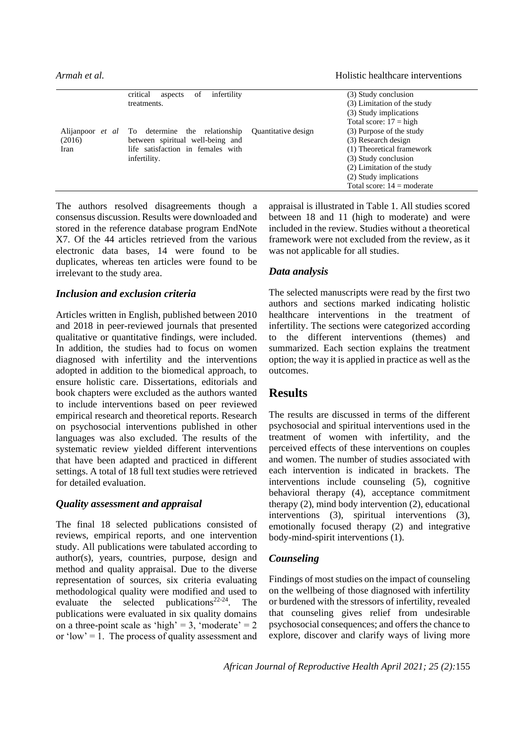|        | critical<br>infertility<br>of<br>aspects              |                     | (3) Study conclusion                |
|--------|-------------------------------------------------------|---------------------|-------------------------------------|
|        | treatments.                                           |                     | (3) Limitation of the study         |
|        |                                                       |                     | (3) Study implications              |
|        |                                                       |                     | Total score: $17 = high$            |
|        | Alijanpoor <i>et al</i> To determine the relationship | Quantitative design | (3) Purpose of the study            |
| (2016) | between spiritual well-being and                      |                     | (3) Research design                 |
| Iran   | life satisfaction in females with                     |                     | (1) Theoretical framework           |
|        | infertility.                                          |                     | (3) Study conclusion                |
|        |                                                       |                     | (2) Limitation of the study         |
|        |                                                       |                     | (2) Study implications              |
|        |                                                       |                     | Total score: $14 = \text{moderate}$ |

The authors resolved disagreements though a consensus discussion. Results were downloaded and stored in the reference database program EndNote X7. Of the 44 articles retrieved from the various electronic data bases, 14 were found to be duplicates, whereas ten articles were found to be irrelevant to the study area.

### *Inclusion and exclusion criteria*

Articles written in English, published between 2010 and 2018 in peer-reviewed journals that presented qualitative or quantitative findings, were included. In addition, the studies had to focus on women diagnosed with infertility and the interventions adopted in addition to the biomedical approach, to ensure holistic care. Dissertations, editorials and book chapters were excluded as the authors wanted to include interventions based on peer reviewed empirical research and theoretical reports. Research on psychosocial interventions published in other languages was also excluded. The results of the systematic review yielded different interventions that have been adapted and practiced in different settings. A total of 18 full text studies were retrieved for detailed evaluation.

## *Quality assessment and appraisal*

The final 18 selected publications consisted of reviews, empirical reports, and one intervention study. All publications were tabulated according to author(s), years, countries, purpose, design and method and quality appraisal. Due to the diverse representation of sources, six criteria evaluating methodological quality were modified and used to evaluate the selected publications<sup>22-24</sup>. The publications were evaluated in six quality domains on a three-point scale as 'high' = 3, 'moderate' =  $2$ or 'low'  $= 1$ . The process of quality assessment and appraisal is illustrated in Table 1. All studies scored between 18 and 11 (high to moderate) and were included in the review. Studies without a theoretical framework were not excluded from the review, as it was not applicable for all studies.

## *Data analysis*

The selected manuscripts were read by the first two authors and sections marked indicating holistic healthcare interventions in the treatment of infertility. The sections were categorized according to the different interventions (themes) and summarized. Each section explains the treatment option; the way it is applied in practice as well as the outcomes.

## **Results**

The results are discussed in terms of the different psychosocial and spiritual interventions used in the treatment of women with infertility, and the perceived effects of these interventions on couples and women. The number of studies associated with each intervention is indicated in brackets. The interventions include counseling (5), cognitive behavioral therapy (4), acceptance commitment therapy (2), mind body intervention (2), educational interventions (3), spiritual interventions (3), emotionally focused therapy (2) and integrative body-mind-spirit interventions (1).

## *Counseling*

Findings of most studies on the impact of counseling on the wellbeing of those diagnosed with infertility or burdened with the stressors of infertility, revealed that counseling gives relief from undesirable psychosocial consequences; and offers the chance to explore, discover and clarify ways of living more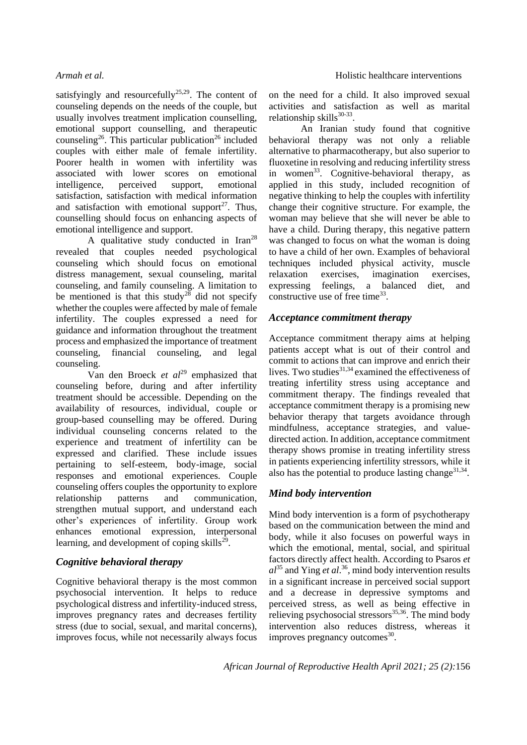satisfyingly and resourcefully<sup>25,29</sup>. The content of counseling depends on the needs of the couple, but usually involves treatment implication counselling, emotional support counselling, and therapeutic counseling<sup>26</sup>. This particular publication<sup>26</sup> included couples with either male of female infertility. Poorer health in women with infertility was associated with lower scores on emotional intelligence, perceived support, emotional satisfaction, satisfaction with medical information and satisfaction with emotional support<sup>27</sup>. Thus, counselling should focus on enhancing aspects of emotional intelligence and support.

A qualitative study conducted in Iran<sup>28</sup> revealed that couples needed psychological counseling which should focus on emotional distress management, sexual counseling, marital counseling, and family counseling. A limitation to be mentioned is that this study<sup>28</sup> did not specify whether the couples were affected by male of female infertility. The couples expressed a need for guidance and information throughout the treatment process and emphasized the importance of treatment counseling, financial counseling, and legal counseling.

Van den Broeck *et al*<sup>29</sup> emphasized that counseling before, during and after infertility treatment should be accessible. Depending on the availability of resources, individual, couple or group-based counselling may be offered. During individual counseling concerns related to the experience and treatment of infertility can be expressed and clarified. These include issues pertaining to self-esteem, body-image, social responses and emotional experiences. Couple counseling offers couples the opportunity to explore relationship patterns and communication, strengthen mutual support, and understand each other's experiences of infertility. Group work enhances emotional expression, interpersonal learning, and development of coping skills $^{29}$ .

# *Cognitive behavioral therapy*

Cognitive behavioral therapy is the most common psychosocial intervention. It helps to reduce psychological distress and infertility-induced stress, improves pregnancy rates and decreases fertility stress (due to social, sexual, and marital concerns), improves focus, while not necessarily always focus on the need for a child. It also improved sexual activities and satisfaction as well as marital relationship skills<sup>30-33</sup>.

An Iranian study found that cognitive behavioral therapy was not only a reliable alternative to pharmacotherapy, but also superior to fluoxetine in resolving and reducing infertility stress in women<sup>33</sup>. Cognitive-behavioral therapy, as applied in this study, included recognition of negative thinking to help the couples with infertility change their cognitive structure. For example, the woman may believe that she will never be able to have a child. During therapy, this negative pattern was changed to focus on what the woman is doing to have a child of her own. Examples of behavioral techniques included physical activity, muscle relaxation exercises, imagination exercises, expressing feelings, a balanced diet, and constructive use of free time<sup>33</sup>.

## *Acceptance commitment therapy*

Acceptance commitment therapy aims at helping patients accept what is out of their control and commit to actions that can improve and enrich their lives. Two studies $31,34$  examined the effectiveness of treating infertility stress using acceptance and commitment therapy. The findings revealed that acceptance commitment therapy is a promising new behavior therapy that targets avoidance through mindfulness, acceptance strategies, and valuedirected action. In addition, acceptance commitment therapy shows promise in treating infertility stress in patients experiencing infertility stressors, while it also has the potential to produce lasting change $31,34$ .

# *Mind body intervention*

Mind body intervention is a form of psychotherapy based on the communication between the mind and body, while it also focuses on powerful ways in which the emotional, mental, social, and spiritual factors directly affect health. According to Psaros *et al*<sup>35</sup> and Ying *et al*. <sup>36</sup>, mind body intervention results in a significant increase in perceived social support and a decrease in depressive symptoms and perceived stress, as well as being effective in relieving psychosocial stressors $35,36$ . The mind body intervention also reduces distress, whereas it improves pregnancy outcomes<sup>30</sup>.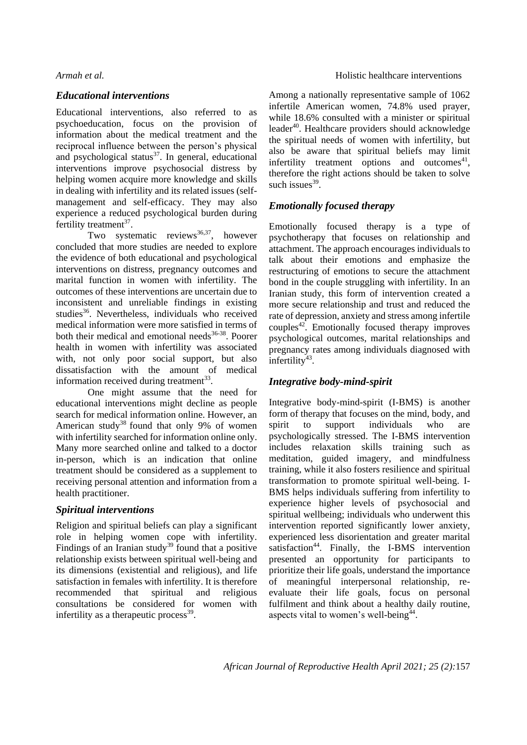## *Educational interventions*

Educational interventions, also referred to as psychoeducation, focus on the provision of information about the medical treatment and the reciprocal influence between the person's physical and psychological status $37$ . In general, educational interventions improve psychosocial distress by helping women acquire more knowledge and skills in dealing with infertility and its related issues (selfmanagement and self-efficacy. They may also experience a reduced psychological burden during fertility treatment $37$ .

Two systematic reviews<sup>36,37</sup>, however concluded that more studies are needed to explore the evidence of both educational and psychological interventions on distress, pregnancy outcomes and marital function in women with infertility. The outcomes of these interventions are uncertain due to inconsistent and unreliable findings in existing studies<sup>36</sup>. Nevertheless, individuals who received medical information were more satisfied in terms of both their medical and emotional needs $36-38$ . Poorer health in women with infertility was associated with, not only poor social support, but also dissatisfaction with the amount of medical information received during treatment<sup>33</sup>.

One might assume that the need for educational interventions might decline as people search for medical information online. However, an American study<sup>38</sup> found that only 9% of women with infertility searched for information online only. Many more searched online and talked to a doctor in-person, which is an indication that online treatment should be considered as a supplement to receiving personal attention and information from a health practitioner.

## *Spiritual interventions*

Religion and spiritual beliefs can play a significant role in helping women cope with infertility. Findings of an Iranian study<sup>39</sup> found that a positive relationship exists between spiritual well-being and its dimensions (existential and religious), and life satisfaction in females with infertility. It is therefore recommended that spiritual and religious consultations be considered for women with infertility as a therapeutic process<sup>39</sup>.

Among a nationally representative sample of 1062 infertile American women, 74.8% used prayer, while 18.6% consulted with a minister or spiritual leader<sup>40</sup>. Healthcare providers should acknowledge the spiritual needs of women with infertility, but also be aware that spiritual beliefs may limit infertility treatment options and outcomes $41$ , therefore the right actions should be taken to solve such issues $39$ .

## *Emotionally focused therapy*

Emotionally focused therapy is a type of psychotherapy that focuses on relationship and attachment. The approach encourages individuals to talk about their emotions and emphasize the restructuring of emotions to secure the attachment bond in the couple struggling with infertility. In an Iranian study, this form of intervention created a more secure relationship and trust and reduced the rate of depression, anxiety and stress among infertile couples<sup>42</sup>. Emotionally focused therapy improves psychological outcomes, marital relationships and pregnancy rates among individuals diagnosed with infertility<sup>43</sup>.

## *Integrative body-mind-spirit*

Integrative body-mind-spirit (I-BMS) is another form of therapy that focuses on the mind, body, and spirit to support individuals who are psychologically stressed. The I-BMS intervention includes relaxation skills training such as meditation, guided imagery, and mindfulness training, while it also fosters resilience and spiritual transformation to promote spiritual well-being. I-BMS helps individuals suffering from infertility to experience higher levels of psychosocial and spiritual wellbeing; individuals who underwent this intervention reported significantly lower anxiety, experienced less disorientation and greater marital satisfaction<sup>44</sup>. Finally, the I-BMS intervention presented an opportunity for participants to prioritize their life goals, understand the importance of meaningful interpersonal relationship, reevaluate their life goals, focus on personal fulfilment and think about a healthy daily routine, aspects vital to women's well-being<sup>44</sup>.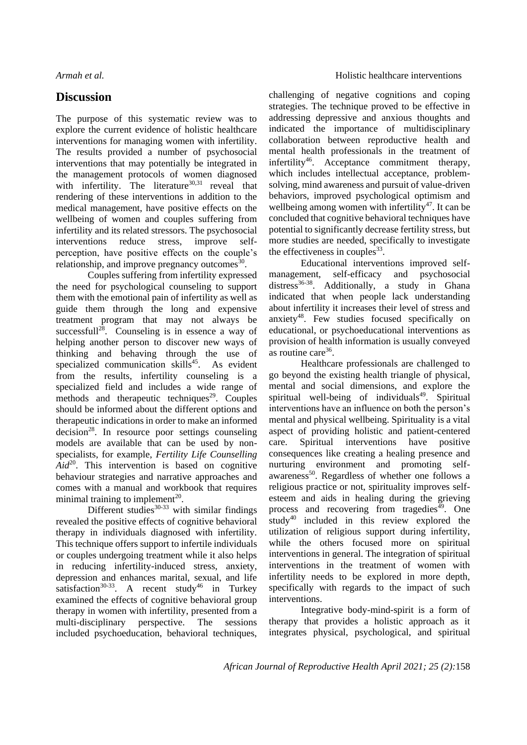# **Discussion**

The purpose of this systematic review was to explore the current evidence of holistic healthcare interventions for managing women with infertility. The results provided a number of psychosocial interventions that may potentially be integrated in the management protocols of women diagnosed with infertility. The literature $30,31$  reveal that rendering of these interventions in addition to the medical management, have positive effects on the wellbeing of women and couples suffering from infertility and its related stressors. The psychosocial interventions reduce stress, improve selfperception, have positive effects on the couple's relationship, and improve pregnancy outcomes $\frac{30}{30}$ .

Couples suffering from infertility expressed the need for psychological counseling to support them with the emotional pain of infertility as well as guide them through the long and expensive treatment program that may not always be successfull<sup>28</sup>. Counseling is in essence a way of helping another person to discover new ways of thinking and behaving through the use of specialized communication skills $45$ . As evident from the results, infertility counseling is a specialized field and includes a wide range of methods and therapeutic techniques<sup>29</sup>. Couples should be informed about the different options and therapeutic indications in order to make an informed  $decision<sup>28</sup>$ . In resource poor settings counseling models are available that can be used by nonspecialists, for example, *Fertility Life Counselling*   $Aid^{20}$ . This intervention is based on cognitive behaviour strategies and narrative approaches and comes with a manual and workbook that requires minimal training to implement<sup>20</sup>.

Different studies $30-33$  with similar findings revealed the positive effects of cognitive behavioral therapy in individuals diagnosed with infertility. This technique offers support to infertile individuals or couples undergoing treatment while it also helps in reducing infertility-induced stress, anxiety, depression and enhances marital, sexual, and life satisfaction<sup>30-33</sup>. A recent study<sup>46</sup> in Turkey examined the effects of cognitive behavioral group therapy in women with infertility, presented from a multi-disciplinary perspective. The sessions included psychoeducation, behavioral techniques, challenging of negative cognitions and coping strategies. The technique proved to be effective in addressing depressive and anxious thoughts and indicated the importance of multidisciplinary collaboration between reproductive health and mental health professionals in the treatment of infertility<sup>46</sup>. Acceptance commitment therapy, which includes intellectual acceptance, problemsolving, mind awareness and pursuit of value-driven behaviors, improved psychological optimism and wellbeing among women with infertility<sup>47</sup>. It can be concluded that cognitive behavioral techniques have potential to significantly decrease fertility stress, but more studies are needed, specifically to investigate the effectiveness in couples $33$ .

Educational interventions improved selfmanagement, self-efficacy and psychosocial distress<sup>36-38</sup>. Additionally, a study in Ghana indicated that when people lack understanding about infertility it increases their level of stress and anxiety $48$ . Few studies focused specifically on educational, or psychoeducational interventions as provision of health information is usually conveyed as routine care<sup>36</sup>.

Healthcare professionals are challenged to go beyond the existing health triangle of physical, mental and social dimensions, and explore the spiritual well-being of individuals<sup>49</sup>. Spiritual interventions have an influence on both the person's mental and physical wellbeing. Spirituality is a vital aspect of providing holistic and patient-centered care. Spiritual interventions have positive consequences like creating a healing presence and nurturing environment and promoting selfawareness<sup>50</sup>. Regardless of whether one follows a religious practice or not, spirituality improves selfesteem and aids in healing during the grieving process and recovering from tragedies<sup>49</sup>. One  $study<sup>40</sup>$  included in this review explored the utilization of religious support during infertility, while the others focused more on spiritual interventions in general. The integration of spiritual interventions in the treatment of women with infertility needs to be explored in more depth, specifically with regards to the impact of such interventions.

Integrative body-mind-spirit is a form of therapy that provides a holistic approach as it integrates physical, psychological, and spiritual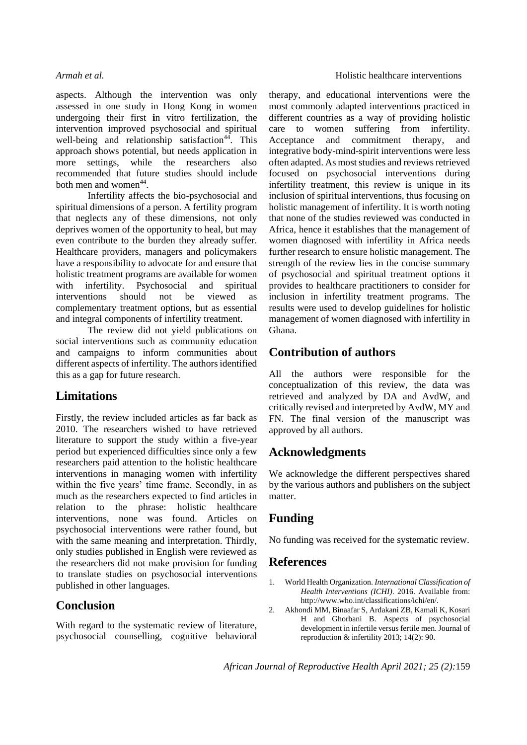aspects. Although the intervention was only assessed in one study in Hong Kong in women undergoing their first **i**n vitro fertilization, the intervention improved psychosocial and spiritual well-being and relationship satisfaction<sup>44</sup>. This approach shows potential, but needs application in more settings, while the researchers also recommended that future studies should include both men and women<sup>44</sup>.

Infertility affects the bio-psychosocial and spiritual dimensions of a person. A fertility program that neglects any of these dimensions, not only deprives women of the opportunity to heal, but may even contribute to the burden they already suffer. Healthcare providers, managers and policymakers have a responsibility to advocate for and ensure that holistic treatment programs are available for women with infertility. Psychosocial and spiritual interventions should not be viewed as complementary treatment options, but as essential and integral components of infertility treatment.

The review did not yield publications on social interventions such as community education and campaigns to inform communities about different aspects of infertility. The authors identified this as a gap for future research.

# **Limitations**

Firstly, the review included articles as far back as 2010. The researchers wished to have retrieved literature to support the study within a five-year period but experienced difficulties since only a few researchers paid attention to the holistic healthcare interventions in managing women with infertility within the five years' time frame. Secondly, in as much as the researchers expected to find articles in relation to the phrase: holistic healthcare interventions, none was found. Articles on psychosocial interventions were rather found, but with the same meaning and interpretation. Thirdly, only studies published in English were reviewed as the researchers did not make provision for funding to translate studies on psychosocial interventions published in other languages.

# **Conclusion**

With regard to the systematic review of literature, psychosocial counselling, cognitive behavioral therapy, and educational interventions were the most commonly adapted interventions practiced in different countries as a way of providing holistic care to women suffering from infertility. Acceptance and commitment therapy, and integrative body-mind-spirit interventions were less often adapted. As most studies and reviews retrieved focused on psychosocial interventions during infertility treatment, this review is unique in its inclusion of spiritual interventions, thus focusing on holistic management of infertility. It is worth noting that none of the studies reviewed was conducted in Africa, hence it establishes that the management of women diagnosed with infertility in Africa needs further research to ensure holistic management. The strength of the review lies in the concise summary of psychosocial and spiritual treatment options it provides to healthcare practitioners to consider for inclusion in infertility treatment programs. The results were used to develop guidelines for holistic management of women diagnosed with infertility in Ghana.

# **Contribution of authors**

All the authors were responsible for the conceptualization of this review, the data was retrieved and analyzed by DA and AvdW, and critically revised and interpreted by AvdW, MY and FN. The final version of the manuscript was approved by all authors.

# **Acknowledgments**

We acknowledge the different perspectives shared by the various authors and publishers on the subject matter.

# **Funding**

No funding was received for the systematic review.

# **References**

- 1. World Health Organization. *International Classification of Health Interventions (ICHI)*. 2016. Available from: http://www.who.int/classifications/ichi/en/.
- 2. Akhondi MM, Binaafar S, Ardakani ZB, Kamali K, Kosari H and Ghorbani B. Aspects of psychosocial development in infertile versus fertile men. Journal of reproduction & infertility 2013; 14(2): 90.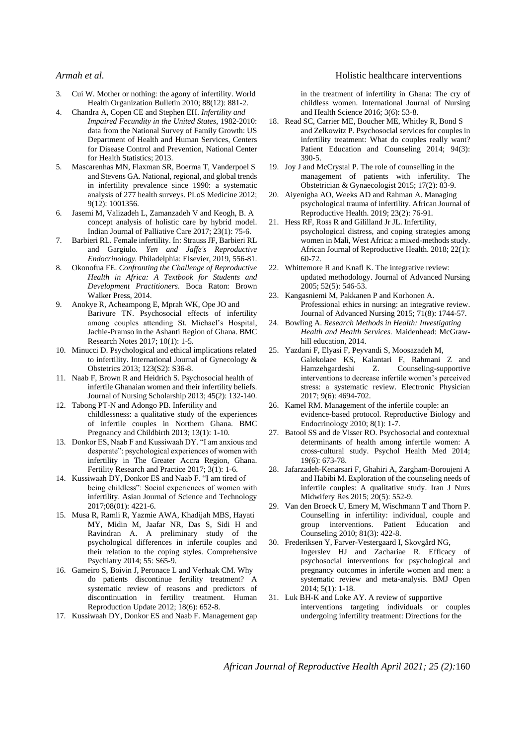- 3. Cui W. Mother or nothing: the agony of infertility. World Health Organization Bulletin 2010; 88(12): 881-2.
- 4. Chandra A, Copen CE and Stephen EH. *Infertility and Impaired Fecundity in the United States*, 1982-2010: data from the National Survey of Family Growth: US Department of Health and Human Services, Centers for Disease Control and Prevention, National Center for Health Statistics; 2013.
- 5. Mascarenhas MN, Flaxman SR, Boerma T, Vanderpoel S and Stevens GA. National, regional, and global trends in infertility prevalence since 1990: a systematic analysis of 277 health surveys. PLoS Medicine 2012; 9(12): 1001356.
- 6. Jasemi M, Valizadeh L, Zamanzadeh V and Keogh, B. A concept analysis of holistic care by hybrid model. Indian Journal of Palliative Care 2017; 23(1): 75-6.
- 7. Barbieri RL. Female infertility. In: Strauss JF, Barbieri RL and Gargiulo. *Yen and Jaffe's Reproductive Endocrinology.* Philadelphia: Elsevier, 2019, 556-81.
- 8. Okonofua FE. *Confronting the Challenge of Reproductive Health in Africa: A Textbook for Students and Development Practitioners*. Boca Raton: Brown Walker Press, 2014.
- 9. Anokye R, Acheampong E, Mprah WK, Ope JO and Barivure TN. Psychosocial effects of infertility among couples attending St. Michael's Hospital, Jachie-Pramso in the Ashanti Region of Ghana. BMC Research Notes 2017; 10(1): 1-5.
- 10. Minucci D. Psychological and ethical implications related to infertility. International Journal of Gynecology & Obstetrics 2013; 123(S2): S36-8.
- 11. Naab F, Brown R and Heidrich S. Psychosocial health of infertile Ghanaian women and their infertility beliefs. Journal of Nursing Scholarship 2013; 45(2): 132-140.
- 12. Tabong PT-N and Adongo PB. Infertility and childlessness: a qualitative study of the experiences of infertile couples in Northern Ghana. BMC Pregnancy and Childbirth 2013; 13(1): 1-10.
- 13. Donkor ES, Naab F and Kussiwaah DY. "I am anxious and desperate": psychological experiences of women with infertility in The Greater Accra Region, Ghana. Fertility Research and Practice 2017; 3(1): 1-6.
- 14. Kussiwaah DY, Donkor ES and Naab F. "I am tired of being childless": Social experiences of women with infertility. Asian Journal of Science and Technology 2017;08(01): 4221-6.
- 15. Musa R, Ramli R, Yazmie AWA, Khadijah MBS, Hayati MY, Midin M, Jaafar NR, Das S, Sidi H and Ravindran A. A preliminary study of the psychological differences in infertile couples and their relation to the coping styles. Comprehensive Psychiatry 2014; 55: S65-9.
- 16. Gameiro S, Boivin J, Peronace L and Verhaak CM. Why do patients discontinue fertility treatment? A systematic review of reasons and predictors of discontinuation in fertility treatment. Human Reproduction Update 2012; 18(6): 652-8.
- 17. Kussiwaah DY, Donkor ES and Naab F. Management gap

### *Armah et al.* **A example 2 example 2 example 2 Holistic healthcare interventions**

in the treatment of infertility in Ghana: The cry of childless women. International Journal of Nursing and Health Science 2016; 3(6): 53-8.

- 18. Read SC, Carrier ME, Boucher ME, Whitley R, Bond S and Zelkowitz P. Psychosocial services for couples in infertility treatment: What do couples really want? Patient Education and Counseling 2014; 94(3): 390-5.
- 19. Joy J and McCrystal P. The role of counselling in the management of patients with infertility. The Obstetrician & Gynaecologist 2015; 17(2): 83-9.
- 20. Aiyenigba AO, Weeks AD and Rahman A. Managing psychological trauma of infertility. African Journal of Reproductive Health. 2019; 23(2): 76-91.
- 21. Hess RF, Ross R and Gililland Jr JL. Infertility, psychological distress, and coping strategies among women in Mali, West Africa: a mixed-methods study. African Journal of Reproductive Health. 2018; 22(1): 60-72.
- 22. Whittemore R and Knafl K. The integrative review: updated methodology. Journal of Advanced Nursing  $2005$ ; 52(5): 546-53.
- 23. Kangasniemi M, Pakkanen P and Korhonen A. Professional ethics in nursing: an integrative review. Journal of Advanced Nursing 2015; 71(8): 1744-57.
- 24. Bowling A. *Research Methods in Health: Investigating Health and Health Services.* Maidenhead: McGrawhill education, 2014.
- 25. Yazdani F, Elyasi F, Peyvandi S, Moosazadeh M, Galekolaee KS, Kalantari F, Rahmani Z and Hamzehgardeshi Z. Counseling-supportive interventions to decrease infertile women's perceived stress: a systematic review. Electronic Physician 2017; 9(6): 4694-702.
- 26. Kamel RM. Management of the infertile couple: an evidence-based protocol. Reproductive Biology and Endocrinology 2010; 8(1): 1-7.
- 27. Batool SS and de Visser RO. Psychosocial and contextual determinants of health among infertile women: A cross-cultural study. Psychol Health Med 2014; 19(6): 673-78.
- 28. Jafarzadeh-Kenarsari F, Ghahiri A, Zargham-Boroujeni A and Habibi M. Exploration of the counseling needs of infertile couples: A qualitative study. Iran J Nurs Midwifery Res 2015; 20(5): 552-9.
- 29. Van den Broeck U, Emery M, Wischmann T and Thorn P. Counselling in infertility: individual, couple and group interventions. Patient Education and Counseling 2010; 81(3): 422-8.
- 30. Frederiksen Y, Farver-Vestergaard I, Skovgård NG, Ingerslev HJ and Zachariae R. Efficacy of psychosocial interventions for psychological and pregnancy outcomes in infertile women and men: a systematic review and meta-analysis. BMJ Open 2014; 5(1): 1-18.
- 31. Luk BH-K and Loke AY. A review of supportive interventions targeting individuals or couples undergoing infertility treatment: Directions for the